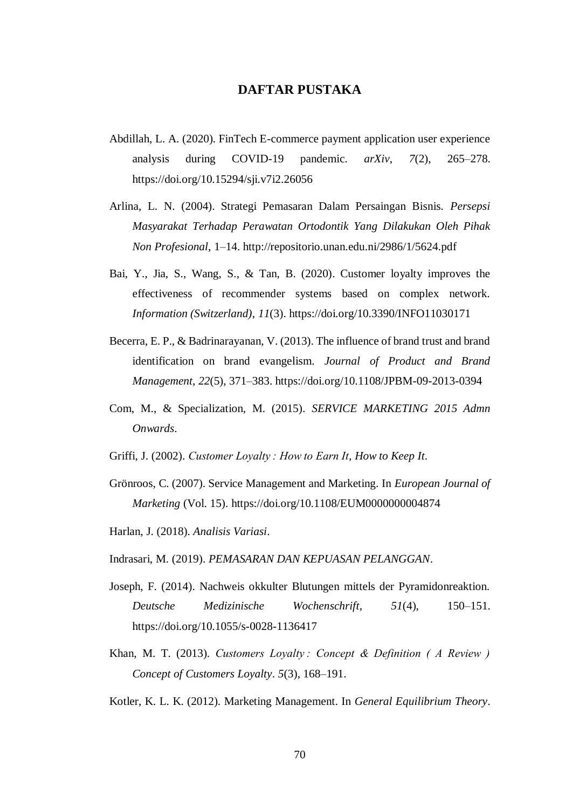## **DAFTAR PUSTAKA**

- Abdillah, L. A. (2020). FinTech E-commerce payment application user experience analysis during COVID-19 pandemic. *arXiv*, *7*(2), 265–278. https://doi.org/10.15294/sji.v7i2.26056
- Arlina, L. N. (2004). Strategi Pemasaran Dalam Persaingan Bisnis. *Persepsi Masyarakat Terhadap Perawatan Ortodontik Yang Dilakukan Oleh Pihak Non Profesional*, 1–14. http://repositorio.unan.edu.ni/2986/1/5624.pdf
- Bai, Y., Jia, S., Wang, S., & Tan, B. (2020). Customer loyalty improves the effectiveness of recommender systems based on complex network. *Information (Switzerland)*, *11*(3). https://doi.org/10.3390/INFO11030171
- Becerra, E. P., & Badrinarayanan, V. (2013). The influence of brand trust and brand identification on brand evangelism. *Journal of Product and Brand Management*, *22*(5), 371–383. https://doi.org/10.1108/JPBM-09-2013-0394
- Com, M., & Specialization, M. (2015). *SERVICE MARKETING 2015 Admn Onwards*.
- Griffi, J. (2002). *Customer Loyalty : How to Earn It, How to Keep It*.
- Grönroos, C. (2007). Service Management and Marketing. In *European Journal of Marketing* (Vol. 15). https://doi.org/10.1108/EUM0000000004874
- Harlan, J. (2018). *Analisis Variasi*.
- Indrasari, M. (2019). *PEMASARAN DAN KEPUASAN PELANGGAN*.
- Joseph, F. (2014). Nachweis okkulter Blutungen mittels der Pyramidonreaktion. *Deutsche Medizinische Wochenschrift*, *51*(4), 150–151. https://doi.org/10.1055/s-0028-1136417
- Khan, M. T. (2013). *Customers Loyalty : Concept & Definition ( A Review ) Concept of Customers Loyalty*. *5*(3), 168–191.
- Kotler, K. L. K. (2012). Marketing Management. In *General Equilibrium Theory*.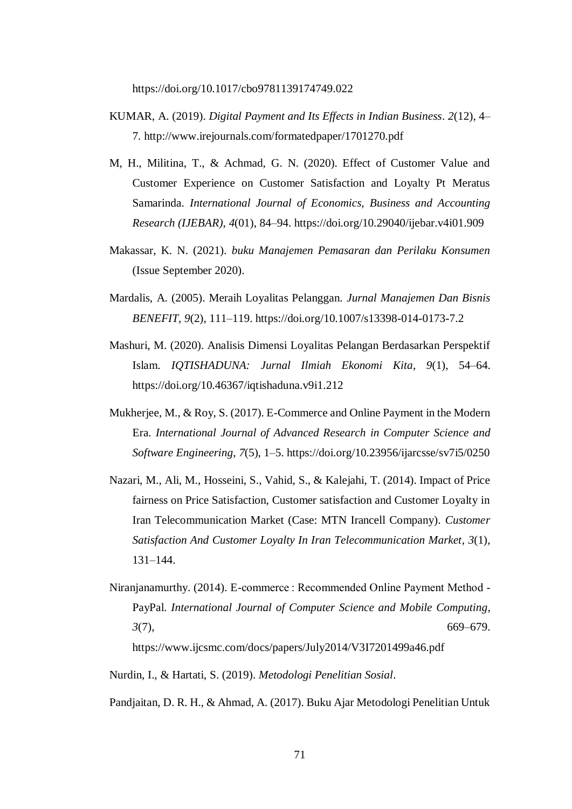https://doi.org/10.1017/cbo9781139174749.022

- KUMAR, A. (2019). *Digital Payment and Its Effects in Indian Business*. *2*(12), 4– 7. http://www.irejournals.com/formatedpaper/1701270.pdf
- M, H., Militina, T., & Achmad, G. N. (2020). Effect of Customer Value and Customer Experience on Customer Satisfaction and Loyalty Pt Meratus Samarinda. *International Journal of Economics, Business and Accounting Research (IJEBAR)*, *4*(01), 84–94. https://doi.org/10.29040/ijebar.v4i01.909
- Makassar, K. N. (2021). *buku Manajemen Pemasaran dan Perilaku Konsumen* (Issue September 2020).
- Mardalis, A. (2005). Meraih Loyalitas Pelanggan. *Jurnal Manajemen Dan Bisnis BENEFIT*, *9*(2), 111–119. https://doi.org/10.1007/s13398-014-0173-7.2
- Mashuri, M. (2020). Analisis Dimensi Loyalitas Pelangan Berdasarkan Perspektif Islam. *IQTISHADUNA: Jurnal Ilmiah Ekonomi Kita*, *9*(1), 54–64. https://doi.org/10.46367/iqtishaduna.v9i1.212
- Mukherjee, M., & Roy, S. (2017). E-Commerce and Online Payment in the Modern Era. *International Journal of Advanced Research in Computer Science and Software Engineering*, *7*(5), 1–5. https://doi.org/10.23956/ijarcsse/sv7i5/0250
- Nazari, M., Ali, M., Hosseini, S., Vahid, S., & Kalejahi, T. (2014). Impact of Price fairness on Price Satisfaction, Customer satisfaction and Customer Loyalty in Iran Telecommunication Market (Case: MTN Irancell Company). *Customer Satisfaction And Customer Loyalty In Iran Telecommunication Market*, *3*(1), 131–144.
- Niranjanamurthy. (2014). E-commerce : Recommended Online Payment Method PayPal. *International Journal of Computer Science and Mobile Computing*, *3*(7), 669–679. https://www.ijcsmc.com/docs/papers/July2014/V3I7201499a46.pdf
- Nurdin, I., & Hartati, S. (2019). *Metodologi Penelitian Sosial*.

Pandjaitan, D. R. H., & Ahmad, A. (2017). Buku Ajar Metodologi Penelitian Untuk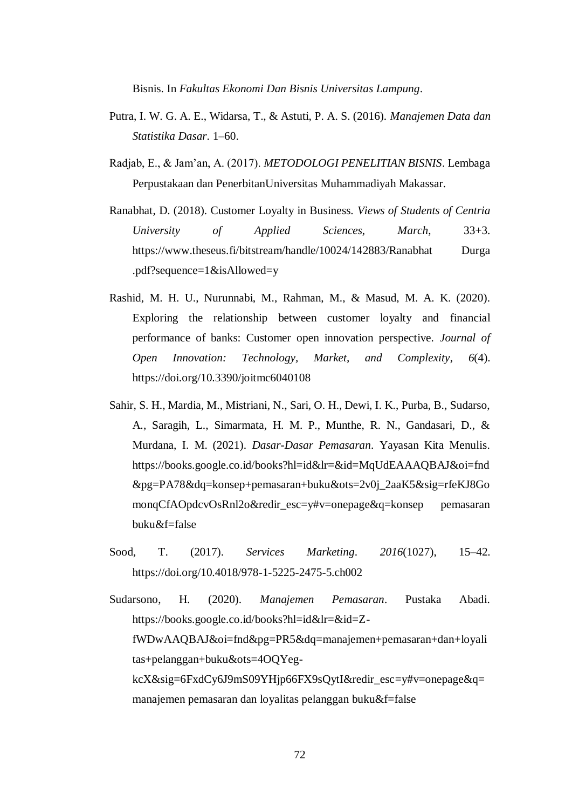Bisnis. In *Fakultas Ekonomi Dan Bisnis Universitas Lampung*.

- Putra, I. W. G. A. E., Widarsa, T., & Astuti, P. A. S. (2016). *Manajemen Data dan Statistika Dasar*. 1–60.
- Radjab, E., & Jam'an, A. (2017). *METODOLOGI PENELITIAN BISNIS*. Lembaga Perpustakaan dan PenerbitanUniversitas Muhammadiyah Makassar.
- Ranabhat, D. (2018). Customer Loyalty in Business. *Views of Students of Centria University of Applied Sciences*, *March*, 33+3. https://www.theseus.fi/bitstream/handle/10024/142883/Ranabhat Durga .pdf?sequence=1&isAllowed=y
- Rashid, M. H. U., Nurunnabi, M., Rahman, M., & Masud, M. A. K. (2020). Exploring the relationship between customer loyalty and financial performance of banks: Customer open innovation perspective. *Journal of Open Innovation: Technology, Market, and Complexity*, *6*(4). https://doi.org/10.3390/joitmc6040108
- Sahir, S. H., Mardia, M., Mistriani, N., Sari, O. H., Dewi, I. K., Purba, B., Sudarso, A., Saragih, L., Simarmata, H. M. P., Munthe, R. N., Gandasari, D., & Murdana, I. M. (2021). *Dasar-Dasar Pemasaran*. Yayasan Kita Menulis. https://books.google.co.id/books?hl=id&lr=&id=MqUdEAAAQBAJ&oi=fnd &pg=PA78&dq=konsep+pemasaran+buku&ots=2v0j\_2aaK5&sig=rfeKJ8Go monqCfAOpdcvOsRnl2o&redir\_esc=y#v=onepage&q=konsep pemasaran buku&f=false
- Sood, T. (2017). *Services Marketing*. *2016*(1027), 15–42. https://doi.org/10.4018/978-1-5225-2475-5.ch002
- Sudarsono, H. (2020). *Manajemen Pemasaran*. Pustaka Abadi. https://books.google.co.id/books?hl=id&lr=&id=ZfWDwAAQBAJ&oi=fnd&pg=PR5&dq=manajemen+pemasaran+dan+loyali tas+pelanggan+buku&ots=4OQYegkcX&sig=6FxdCy6J9mS09YHjp66FX9sQytI&redir\_esc=y#v=onepage&q= manajemen pemasaran dan loyalitas pelanggan buku&f=false